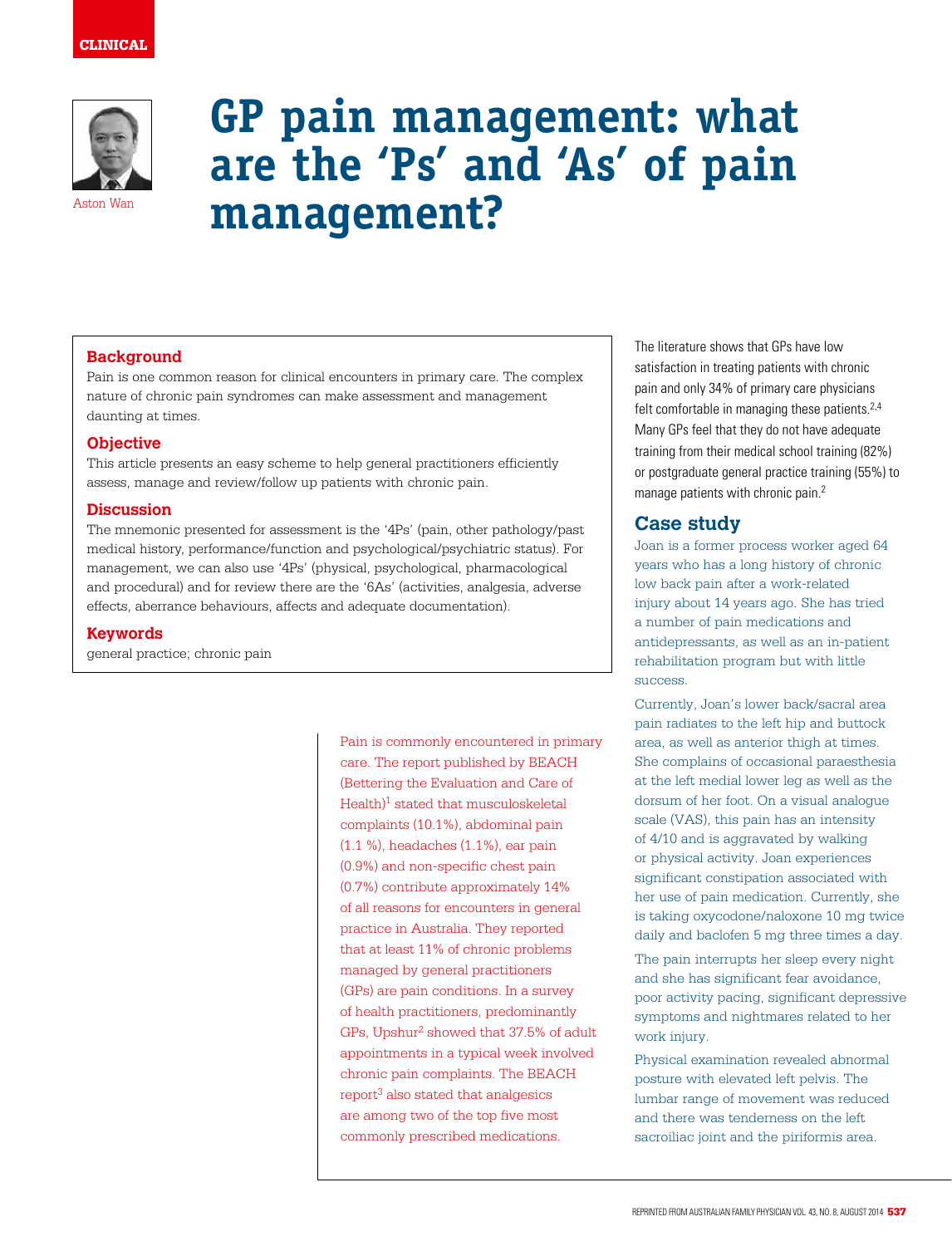

# **GP pain management: what are the 'Ps' and 'As' of pain management?**

# **Background**

Pain is one common reason for clinical encounters in primary care. The complex nature of chronic pain syndromes can make assessment and management daunting at times.

#### **Objective**

This article presents an easy scheme to help general practitioners efficiently assess, manage and review/follow up patients with chronic pain.

#### **Discussion**

The mnemonic presented for assessment is the '4Ps' (pain, other pathology/past medical history, performance/function and psychological/psychiatric status). For management, we can also use '4Ps' (physical, psychological, pharmacological and procedural) and for review there are the '6As' (activities, analgesia, adverse effects, aberrance behaviours, affects and adequate documentation).

#### **Keywords**

general practice; chronic pain

Pain is commonly encountered in primary care. The report published by BEACH (Bettering the Evaluation and Care of Health)1 stated that musculoskeletal complaints (10.1%), abdominal pain (1.1 %), headaches (1.1%), ear pain (0.9%) and non-specific chest pain (0.7%) contribute approximately 14% of all reasons for encounters in general practice in Australia. They reported that at least 11% of chronic problems managed by general practitioners (GPs) are pain conditions. In a survey of health practitioners, predominantly GPs, Upshur2 showed that 37.5% of adult appointments in a typical week involved chronic pain complaints. The BEACH  $report<sup>3</sup>$  also stated that analgesics are among two of the top five most commonly prescribed medications.

The literature shows that GPs have low satisfaction in treating patients with chronic pain and only 34% of primary care physicians felt comfortable in managing these patients.<sup>2,4</sup> Many GPs feel that they do not have adequate training from their medical school training (82%) or postgraduate general practice training (55%) to manage patients with chronic pain.<sup>2</sup>

# **Case study**

Joan is a former process worker aged 64 years who has a long history of chronic low back pain after a work-related injury about 14 years ago. She has tried a number of pain medications and antidepressants, as well as an in-patient rehabilitation program but with little success.

Currently, Joan's lower back/sacral area pain radiates to the left hip and buttock area, as well as anterior thigh at times. She complains of occasional paraesthesia at the left medial lower leg as well as the dorsum of her foot. On a visual analogue scale (VAS), this pain has an intensity of 4/10 and is aggravated by walking or physical activity. Joan experiences significant constipation associated with her use of pain medication. Currently, she is taking oxycodone/naloxone 10 mg twice daily and baclofen 5 mg three times a day.

The pain interrupts her sleep every night and she has significant fear avoidance, poor activity pacing, significant depressive symptoms and nightmares related to her work injury.

Physical examination revealed abnormal posture with elevated left pelvis. The lumbar range of movement was reduced and there was tenderness on the left sacroiliac joint and the piriformis area.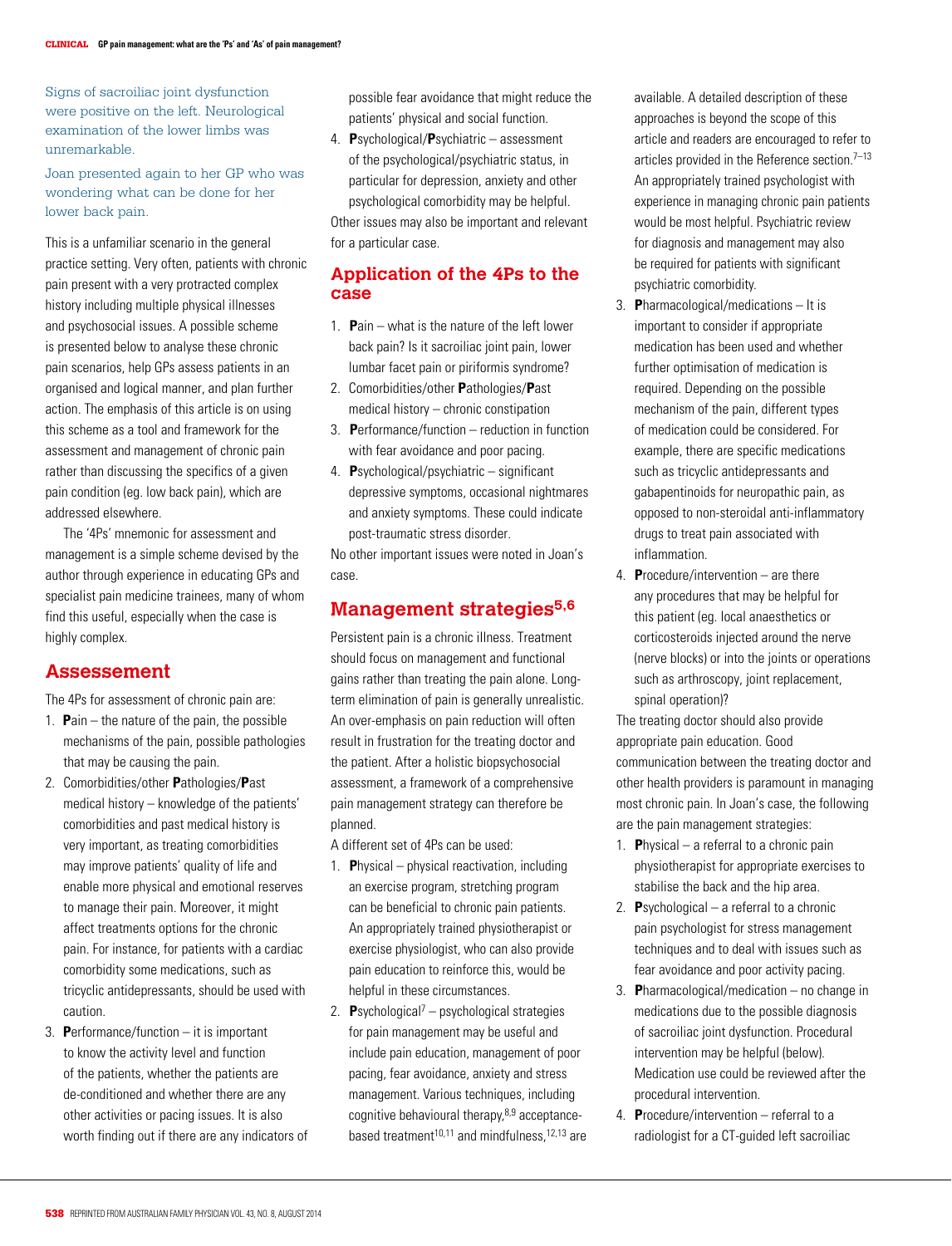Signs of sacroiliac joint dysfunction were positive on the left. Neurological examination of the lower limbs was unremarkable.

Joan presented again to her GP who was wondering what can be done for her lower back pain.

This is a unfamiliar scenario in the general practice setting. Very often, patients with chronic pain present with a very protracted complex history including multiple physical illnesses and psychosocial issues. A possible scheme is presented below to analyse these chronic pain scenarios, help GPs assess patients in an organised and logical manner, and plan further action. The emphasis of this article is on using this scheme as a tool and framework for the assessment and management of chronic pain rather than discussing the specifics of a given pain condition (eg. low back pain), which are addressed elsewhere.

The '4Ps' mnemonic for assessment and management is a simple scheme devised by the author through experience in educating GPs and specialist pain medicine trainees, many of whom find this useful, especially when the case is highly complex.

#### **Assessement**

The 4Ps for assessment of chronic pain are:

- 1. **P**ain the nature of the pain, the possible mechanisms of the pain, possible pathologies that may be causing the pain.
- 2. Comorbidities/other **P**athologies/**P**ast medical history – knowledge of the patients' comorbidities and past medical history is very important, as treating comorbidities may improve patients' quality of life and enable more physical and emotional reserves to manage their pain. Moreover, it might affect treatments options for the chronic pain. For instance, for patients with a cardiac comorbidity some medications, such as tricyclic antidepressants, should be used with caution.
- 3. **P**erformance/function it is important to know the activity level and function of the patients, whether the patients are de-conditioned and whether there are any other activities or pacing issues. It is also worth finding out if there are any indicators of

possible fear avoidance that might reduce the patients' physical and social function.

4. **P**sychological/**P**sychiatric – assessment of the psychological/psychiatric status, in particular for depression, anxiety and other psychological comorbidity may be helpful. Other issues may also be important and relevant for a particular case.

#### **Application of the 4Ps to the case**

- 1. **P**ain what is the nature of the left lower back pain? Is it sacroiliac joint pain, lower lumbar facet pain or piriformis syndrome?
- 2. Comorbidities/other **P**athologies/**P**ast medical history – chronic constipation
- 3. **P**erformance/function reduction in function with fear avoidance and poor pacing.
- 4. **P**sychological/psychiatric significant depressive symptoms, occasional nightmares and anxiety symptoms. These could indicate post-traumatic stress disorder.

No other important issues were noted in Joan's case.

# **Management strategies5,6**

Persistent pain is a chronic illness. Treatment should focus on management and functional gains rather than treating the pain alone. Longterm elimination of pain is generally unrealistic. An over-emphasis on pain reduction will often result in frustration for the treating doctor and the patient. After a holistic biopsychosocial assessment, a framework of a comprehensive pain management strategy can therefore be planned.

A different set of 4Ps can be used:

- 1. **P**hysical physical reactivation, including an exercise program, stretching program can be beneficial to chronic pain patients. An appropriately trained physiotherapist or exercise physiologist, who can also provide pain education to reinforce this, would be helpful in these circumstances.
- 2. Psychological<sup>7</sup> psychological strategies for pain management may be useful and include pain education, management of poor pacing, fear avoidance, anxiety and stress management. Various techniques, including cognitive behavioural therapy, $8.9$  acceptancebased treatment $10,11$  and mindfulness,  $12,13$  are

available. A detailed description of these approaches is beyond the scope of this article and readers are encouraged to refer to articles provided in the Reference section. $7-13$ An appropriately trained psychologist with experience in managing chronic pain patients would be most helpful. Psychiatric review for diagnosis and management may also be required for patients with significant psychiatric comorbidity.

- 3. **P**harmacological/medications It is important to consider if appropriate medication has been used and whether further optimisation of medication is required. Depending on the possible mechanism of the pain, different types of medication could be considered. For example, there are specific medications such as tricyclic antidepressants and gabapentinoids for neuropathic pain, as opposed to non-steroidal anti-inflammatory drugs to treat pain associated with inflammation.
- 4. **P**rocedure/intervention are there any procedures that may be helpful for this patient (eg. local anaesthetics or corticosteroids injected around the nerve (nerve blocks) or into the joints or operations such as arthroscopy, joint replacement, spinal operation)?

The treating doctor should also provide appropriate pain education. Good communication between the treating doctor and other health providers is paramount in managing most chronic pain. In Joan's case, the following are the pain management strategies:

- 1. **P**hysical a referral to a chronic pain physiotherapist for appropriate exercises to stabilise the back and the hip area.
- 2. **P**sychological a referral to a chronic pain psychologist for stress management techniques and to deal with issues such as fear avoidance and poor activity pacing.
- 3. **P**harmacological/medication no change in medications due to the possible diagnosis of sacroiliac joint dysfunction. Procedural intervention may be helpful (below). Medication use could be reviewed after the procedural intervention.
- 4. **P**rocedure/intervention referral to a radiologist for a CT-guided left sacroiliac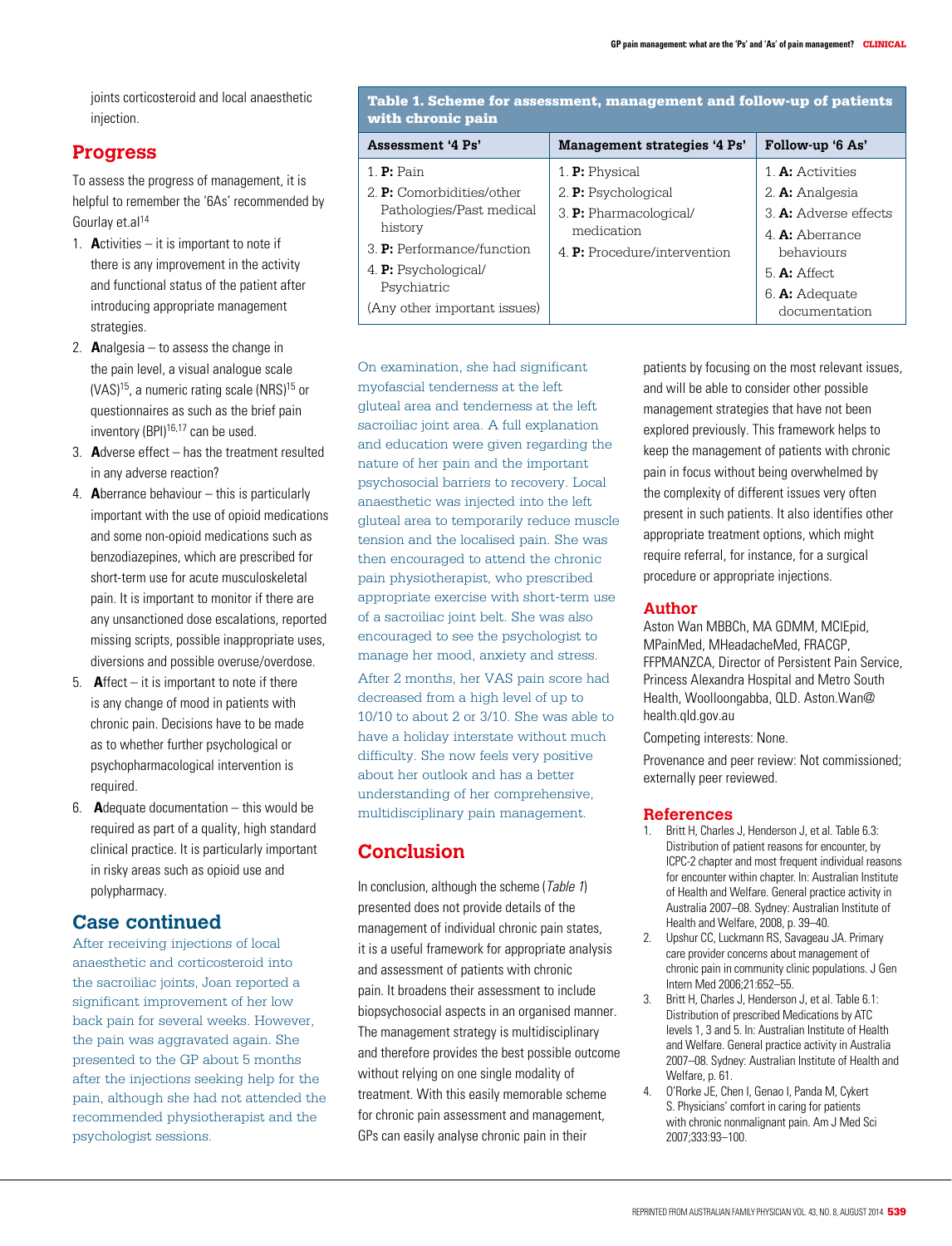joints corticosteroid and local anaesthetic injection.

### **Progress**

To assess the progress of management, it is helpful to remember the '6As' recommended by Gourlay et.al<sup>14</sup>

- 1. **A**ctivities it is important to note if there is any improvement in the activity and functional status of the patient after introducing appropriate management strategies.
- 2. **A**nalgesia to assess the change in the pain level, a visual analogue scale  $(VAS)^{15}$ , a numeric rating scale  $(NRS)^{15}$  or questionnaires as such as the brief pain inventory (BPI)16,17 can be used.
- 3. **A**dverse effect has the treatment resulted in any adverse reaction?
- 4. **A**berrance behaviour this is particularly important with the use of opioid medications and some non-opioid medications such as benzodiazepines, which are prescribed for short-term use for acute musculoskeletal pain. It is important to monitor if there are any unsanctioned dose escalations, reported missing scripts, possible inappropriate uses, diversions and possible overuse/overdose.
- 5. **A**ffect it is important to note if there is any change of mood in patients with chronic pain. Decisions have to be made as to whether further psychological or psychopharmacological intervention is required.
- 6. **A**dequate documentation this would be required as part of a quality, high standard clinical practice. It is particularly important in risky areas such as opioid use and polypharmacy.

# **Case continued**

After receiving injections of local anaesthetic and corticosteroid into the sacroiliac joints, Joan reported a significant improvement of her low back pain for several weeks. However, the pain was aggravated again. She presented to the GP about 5 months after the injections seeking help for the pain, although she had not attended the recommended physiotherapist and the psychologist sessions.

Table 1. Scheme for assessment, management and follow-up of patients with chronic pain

| <b>Assessment '4 Ps'</b>         | Management strategies '4 Ps' | Follow-up '6 As'      |
|----------------------------------|------------------------------|-----------------------|
| 1. <b>P</b> : Pain               | 1. <b>P:</b> Physical        | 1. A: Activities      |
| 2. <b>P:</b> Comorbidities/other | 2. <b>P:</b> Psychological   | 2. A: Analgesia       |
| Pathologies/Past medical         | 3. P: Pharmacological/       | 3. A: Adverse effects |
| history                          | medication                   | 4. A: Aberrance       |
| 3. P: Performance/function       | 4. P: Procedure/intervention | behaviours            |
| 4. P: Psychological/             |                              | $5. A:$ Affect.       |
| Psychiatric                      |                              | 6. $A:$ Adequate      |
| (Any other important issues)     |                              | documentation         |

On examination, she had significant myofascial tenderness at the left gluteal area and tenderness at the left sacroiliac joint area. A full explanation and education were given regarding the nature of her pain and the important psychosocial barriers to recovery. Local anaesthetic was injected into the left gluteal area to temporarily reduce muscle tension and the localised pain. She was then encouraged to attend the chronic pain physiotherapist, who prescribed appropriate exercise with short-term use of a sacroiliac joint belt. She was also encouraged to see the psychologist to manage her mood, anxiety and stress. After 2 months, her VAS pain score had decreased from a high level of up to 10/10 to about 2 or 3/10. She was able to have a holiday interstate without much difficulty. She now feels very positive about her outlook and has a better understanding of her comprehensive, multidisciplinary pain management.

# **Conclusion**

In conclusion, although the scheme (Table 1) presented does not provide details of the management of individual chronic pain states, it is a useful framework for appropriate analysis and assessment of patients with chronic pain. It broadens their assessment to include biopsychosocial aspects in an organised manner. The management strategy is multidisciplinary and therefore provides the best possible outcome without relying on one single modality of treatment. With this easily memorable scheme for chronic pain assessment and management, GPs can easily analyse chronic pain in their

patients by focusing on the most relevant issues, and will be able to consider other possible management strategies that have not been explored previously. This framework helps to keep the management of patients with chronic pain in focus without being overwhelmed by the complexity of different issues very often present in such patients. It also identifies other appropriate treatment options, which might require referral, for instance, for a surgical procedure or appropriate injections.

#### **Author**

Aston Wan MBBCh, MA GDMM, MClEpid, MPainMed, MHeadacheMed, FRACGP, FFPMANZCA, Director of Persistent Pain Service, Princess Alexandra Hospital and Metro South Health, Woolloongabba, QLD. Aston.Wan@ health.qld.gov.au

Competing interests: None.

Provenance and peer review: Not commissioned; externally peer reviewed.

#### **References**

- 1. Britt H, Charles J, Henderson J, et al. Table 6.3: Distribution of patient reasons for encounter, by ICPC-2 chapter and most frequent individual reasons for encounter within chapter. In: Australian Institute of Health and Welfare. General practice activity in Australia 2007–08. Sydney: Australian Institute of Health and Welfare, 2008, p. 39–40.
- 2. Upshur CC, Luckmann RS, Savageau JA. Primary care provider concerns about management of chronic pain in community clinic populations. J Gen Intern Med 2006;21:652–55.
- 3. Britt H, Charles J, Henderson J, et al. Table 6.1: Distribution of prescribed Medications by ATC levels 1, 3 and 5. In: Australian Institute of Health and Welfare. General practice activity in Australia 2007–08. Sydney: Australian Institute of Health and Welfare, p. 61.
- 4. O'Rorke JE, Chen I, Genao I, Panda M, Cykert S. Physicians' comfort in caring for patients with chronic nonmalignant pain. Am J Med Sci 2007;333:93–100.